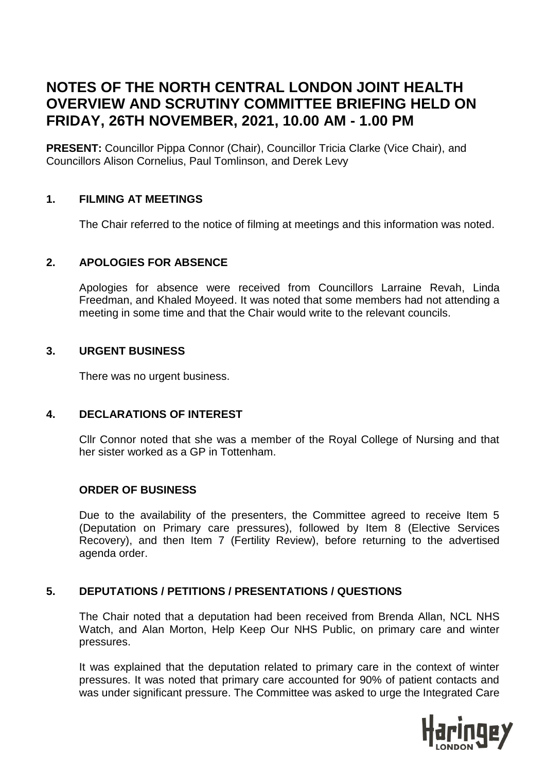# **NOTES OF THE NORTH CENTRAL LONDON JOINT HEALTH OVERVIEW AND SCRUTINY COMMITTEE BRIEFING HELD ON FRIDAY, 26TH NOVEMBER, 2021, 10.00 AM - 1.00 PM**

**PRESENT:** Councillor Pippa Connor (Chair), Councillor Tricia Clarke (Vice Chair), and Councillors Alison Cornelius, Paul Tomlinson, and Derek Levy

## **1. FILMING AT MEETINGS**

The Chair referred to the notice of filming at meetings and this information was noted.

## **2. APOLOGIES FOR ABSENCE**

Apologies for absence were received from Councillors Larraine Revah, Linda Freedman, and Khaled Moyeed. It was noted that some members had not attending a meeting in some time and that the Chair would write to the relevant councils.

## **3. URGENT BUSINESS**

There was no urgent business.

## **4. DECLARATIONS OF INTEREST**

Cllr Connor noted that she was a member of the Royal College of Nursing and that her sister worked as a GP in Tottenham.

## **ORDER OF BUSINESS**

Due to the availability of the presenters, the Committee agreed to receive Item 5 (Deputation on Primary care pressures), followed by Item 8 (Elective Services Recovery), and then Item 7 (Fertility Review), before returning to the advertised agenda order.

## **5. DEPUTATIONS / PETITIONS / PRESENTATIONS / QUESTIONS**

The Chair noted that a deputation had been received from Brenda Allan, NCL NHS Watch, and Alan Morton, Help Keep Our NHS Public, on primary care and winter pressures.

It was explained that the deputation related to primary care in the context of winter pressures. It was noted that primary care accounted for 90% of patient contacts and was under significant pressure. The Committee was asked to urge the Integrated Care

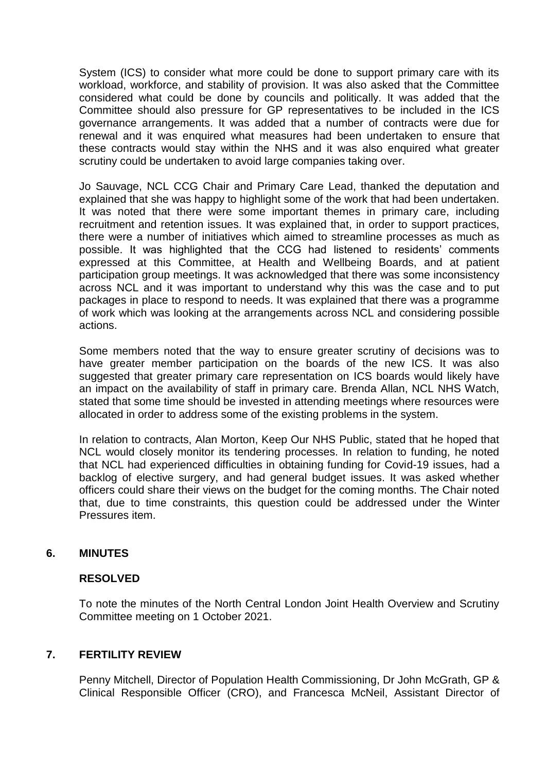System (ICS) to consider what more could be done to support primary care with its workload, workforce, and stability of provision. It was also asked that the Committee considered what could be done by councils and politically. It was added that the Committee should also pressure for GP representatives to be included in the ICS governance arrangements. It was added that a number of contracts were due for renewal and it was enquired what measures had been undertaken to ensure that these contracts would stay within the NHS and it was also enquired what greater scrutiny could be undertaken to avoid large companies taking over.

Jo Sauvage, NCL CCG Chair and Primary Care Lead, thanked the deputation and explained that she was happy to highlight some of the work that had been undertaken. It was noted that there were some important themes in primary care, including recruitment and retention issues. It was explained that, in order to support practices, there were a number of initiatives which aimed to streamline processes as much as possible. It was highlighted that the CCG had listened to residents' comments expressed at this Committee, at Health and Wellbeing Boards, and at patient participation group meetings. It was acknowledged that there was some inconsistency across NCL and it was important to understand why this was the case and to put packages in place to respond to needs. It was explained that there was a programme of work which was looking at the arrangements across NCL and considering possible actions.

Some members noted that the way to ensure greater scrutiny of decisions was to have greater member participation on the boards of the new ICS. It was also suggested that greater primary care representation on ICS boards would likely have an impact on the availability of staff in primary care. Brenda Allan, NCL NHS Watch, stated that some time should be invested in attending meetings where resources were allocated in order to address some of the existing problems in the system.

In relation to contracts, Alan Morton, Keep Our NHS Public, stated that he hoped that NCL would closely monitor its tendering processes. In relation to funding, he noted that NCL had experienced difficulties in obtaining funding for Covid-19 issues, had a backlog of elective surgery, and had general budget issues. It was asked whether officers could share their views on the budget for the coming months. The Chair noted that, due to time constraints, this question could be addressed under the Winter Pressures item.

## **6. MINUTES**

## **RESOLVED**

To note the minutes of the North Central London Joint Health Overview and Scrutiny Committee meeting on 1 October 2021.

## **7. FERTILITY REVIEW**

Penny Mitchell, Director of Population Health Commissioning, Dr John McGrath, GP & Clinical Responsible Officer (CRO), and Francesca McNeil, Assistant Director of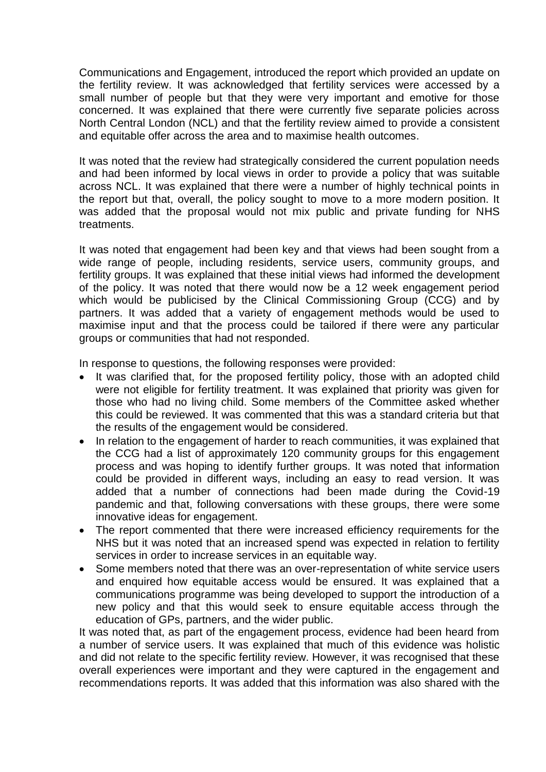Communications and Engagement, introduced the report which provided an update on the fertility review. It was acknowledged that fertility services were accessed by a small number of people but that they were very important and emotive for those concerned. It was explained that there were currently five separate policies across North Central London (NCL) and that the fertility review aimed to provide a consistent and equitable offer across the area and to maximise health outcomes.

It was noted that the review had strategically considered the current population needs and had been informed by local views in order to provide a policy that was suitable across NCL. It was explained that there were a number of highly technical points in the report but that, overall, the policy sought to move to a more modern position. It was added that the proposal would not mix public and private funding for NHS treatments.

It was noted that engagement had been key and that views had been sought from a wide range of people, including residents, service users, community groups, and fertility groups. It was explained that these initial views had informed the development of the policy. It was noted that there would now be a 12 week engagement period which would be publicised by the Clinical Commissioning Group (CCG) and by partners. It was added that a variety of engagement methods would be used to maximise input and that the process could be tailored if there were any particular groups or communities that had not responded.

In response to questions, the following responses were provided:

- It was clarified that, for the proposed fertility policy, those with an adopted child were not eligible for fertility treatment. It was explained that priority was given for those who had no living child. Some members of the Committee asked whether this could be reviewed. It was commented that this was a standard criteria but that the results of the engagement would be considered.
- In relation to the engagement of harder to reach communities, it was explained that the CCG had a list of approximately 120 community groups for this engagement process and was hoping to identify further groups. It was noted that information could be provided in different ways, including an easy to read version. It was added that a number of connections had been made during the Covid-19 pandemic and that, following conversations with these groups, there were some innovative ideas for engagement.
- The report commented that there were increased efficiency requirements for the NHS but it was noted that an increased spend was expected in relation to fertility services in order to increase services in an equitable way.
- Some members noted that there was an over-representation of white service users and enquired how equitable access would be ensured. It was explained that a communications programme was being developed to support the introduction of a new policy and that this would seek to ensure equitable access through the education of GPs, partners, and the wider public.

It was noted that, as part of the engagement process, evidence had been heard from a number of service users. It was explained that much of this evidence was holistic and did not relate to the specific fertility review. However, it was recognised that these overall experiences were important and they were captured in the engagement and recommendations reports. It was added that this information was also shared with the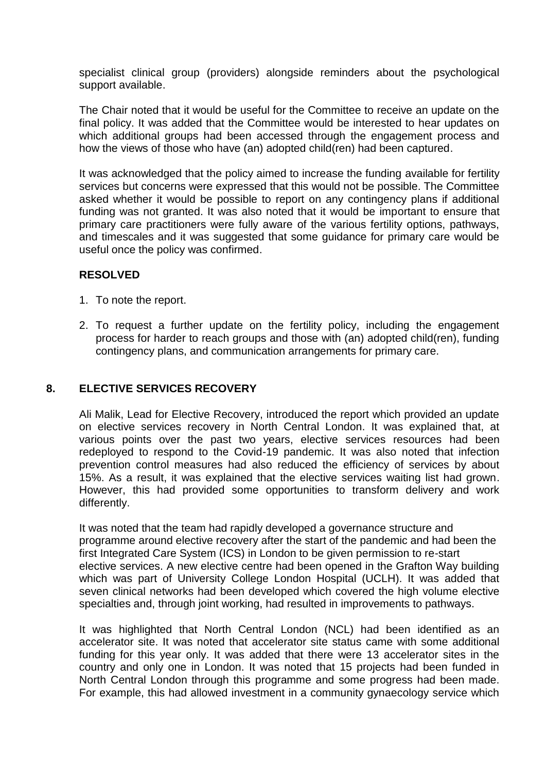specialist clinical group (providers) alongside reminders about the psychological support available.

The Chair noted that it would be useful for the Committee to receive an update on the final policy. It was added that the Committee would be interested to hear updates on which additional groups had been accessed through the engagement process and how the views of those who have (an) adopted child(ren) had been captured.

It was acknowledged that the policy aimed to increase the funding available for fertility services but concerns were expressed that this would not be possible. The Committee asked whether it would be possible to report on any contingency plans if additional funding was not granted. It was also noted that it would be important to ensure that primary care practitioners were fully aware of the various fertility options, pathways, and timescales and it was suggested that some guidance for primary care would be useful once the policy was confirmed.

## **RESOLVED**

- 1. To note the report.
- 2. To request a further update on the fertility policy, including the engagement process for harder to reach groups and those with (an) adopted child(ren), funding contingency plans, and communication arrangements for primary care.

## **8. ELECTIVE SERVICES RECOVERY**

Ali Malik, Lead for Elective Recovery, introduced the report which provided an update on elective services recovery in North Central London. It was explained that, at various points over the past two years, elective services resources had been redeployed to respond to the Covid-19 pandemic. It was also noted that infection prevention control measures had also reduced the efficiency of services by about 15%. As a result, it was explained that the elective services waiting list had grown. However, this had provided some opportunities to transform delivery and work differently.

It was noted that the team had rapidly developed a governance structure and programme around elective recovery after the start of the pandemic and had been the first Integrated Care System (ICS) in London to be given permission to re-start elective services. A new elective centre had been opened in the Grafton Way building which was part of University College London Hospital (UCLH). It was added that seven clinical networks had been developed which covered the high volume elective specialties and, through joint working, had resulted in improvements to pathways.

It was highlighted that North Central London (NCL) had been identified as an accelerator site. It was noted that accelerator site status came with some additional funding for this year only. It was added that there were 13 accelerator sites in the country and only one in London. It was noted that 15 projects had been funded in North Central London through this programme and some progress had been made. For example, this had allowed investment in a community gynaecology service which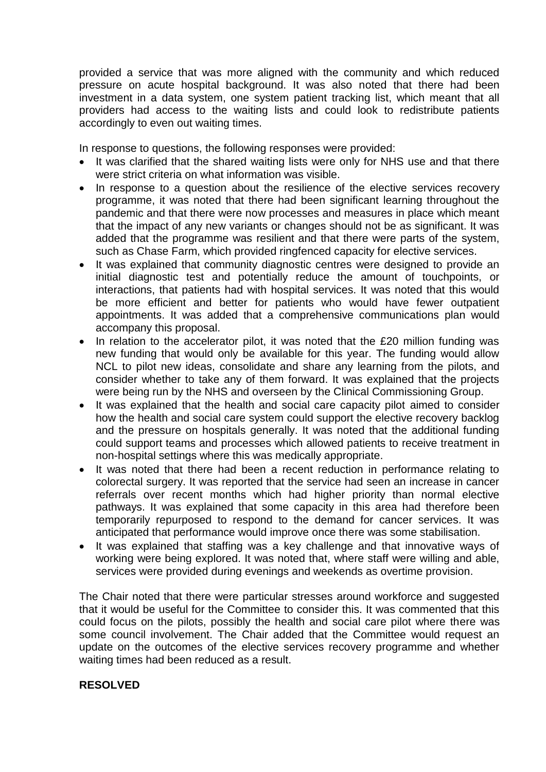provided a service that was more aligned with the community and which reduced pressure on acute hospital background. It was also noted that there had been investment in a data system, one system patient tracking list, which meant that all providers had access to the waiting lists and could look to redistribute patients accordingly to even out waiting times.

In response to questions, the following responses were provided:

- It was clarified that the shared waiting lists were only for NHS use and that there were strict criteria on what information was visible.
- In response to a question about the resilience of the elective services recovery programme, it was noted that there had been significant learning throughout the pandemic and that there were now processes and measures in place which meant that the impact of any new variants or changes should not be as significant. It was added that the programme was resilient and that there were parts of the system, such as Chase Farm, which provided ringfenced capacity for elective services.
- It was explained that community diagnostic centres were designed to provide an initial diagnostic test and potentially reduce the amount of touchpoints, or interactions, that patients had with hospital services. It was noted that this would be more efficient and better for patients who would have fewer outpatient appointments. It was added that a comprehensive communications plan would accompany this proposal.
- In relation to the accelerator pilot, it was noted that the £20 million funding was new funding that would only be available for this year. The funding would allow NCL to pilot new ideas, consolidate and share any learning from the pilots, and consider whether to take any of them forward. It was explained that the projects were being run by the NHS and overseen by the Clinical Commissioning Group.
- It was explained that the health and social care capacity pilot aimed to consider how the health and social care system could support the elective recovery backlog and the pressure on hospitals generally. It was noted that the additional funding could support teams and processes which allowed patients to receive treatment in non-hospital settings where this was medically appropriate.
- It was noted that there had been a recent reduction in performance relating to colorectal surgery. It was reported that the service had seen an increase in cancer referrals over recent months which had higher priority than normal elective pathways. It was explained that some capacity in this area had therefore been temporarily repurposed to respond to the demand for cancer services. It was anticipated that performance would improve once there was some stabilisation.
- It was explained that staffing was a key challenge and that innovative ways of working were being explored. It was noted that, where staff were willing and able, services were provided during evenings and weekends as overtime provision.

The Chair noted that there were particular stresses around workforce and suggested that it would be useful for the Committee to consider this. It was commented that this could focus on the pilots, possibly the health and social care pilot where there was some council involvement. The Chair added that the Committee would request an update on the outcomes of the elective services recovery programme and whether waiting times had been reduced as a result.

## **RESOLVED**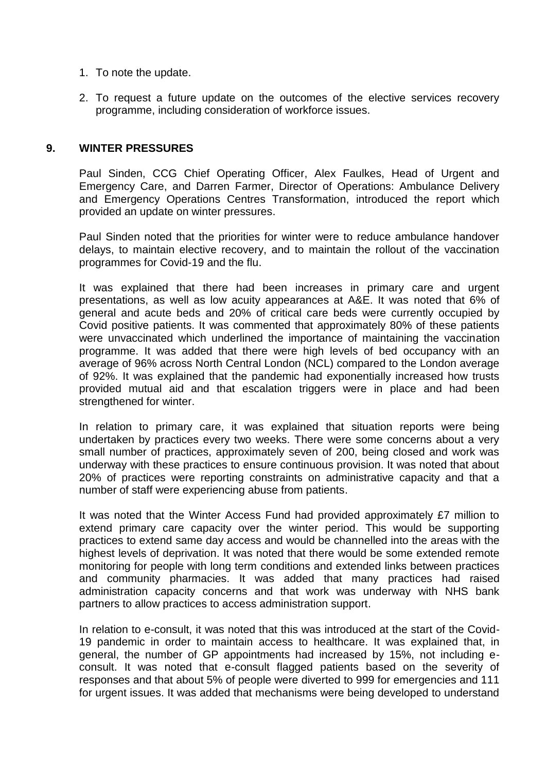- 1. To note the update.
- 2. To request a future update on the outcomes of the elective services recovery programme, including consideration of workforce issues.

#### **9. WINTER PRESSURES**

Paul Sinden, CCG Chief Operating Officer, Alex Faulkes, Head of Urgent and Emergency Care, and Darren Farmer, Director of Operations: Ambulance Delivery and Emergency Operations Centres Transformation, introduced the report which provided an update on winter pressures.

Paul Sinden noted that the priorities for winter were to reduce ambulance handover delays, to maintain elective recovery, and to maintain the rollout of the vaccination programmes for Covid-19 and the flu.

It was explained that there had been increases in primary care and urgent presentations, as well as low acuity appearances at A&E. It was noted that 6% of general and acute beds and 20% of critical care beds were currently occupied by Covid positive patients. It was commented that approximately 80% of these patients were unvaccinated which underlined the importance of maintaining the vaccination programme. It was added that there were high levels of bed occupancy with an average of 96% across North Central London (NCL) compared to the London average of 92%. It was explained that the pandemic had exponentially increased how trusts provided mutual aid and that escalation triggers were in place and had been strengthened for winter.

In relation to primary care, it was explained that situation reports were being undertaken by practices every two weeks. There were some concerns about a very small number of practices, approximately seven of 200, being closed and work was underway with these practices to ensure continuous provision. It was noted that about 20% of practices were reporting constraints on administrative capacity and that a number of staff were experiencing abuse from patients.

It was noted that the Winter Access Fund had provided approximately £7 million to extend primary care capacity over the winter period. This would be supporting practices to extend same day access and would be channelled into the areas with the highest levels of deprivation. It was noted that there would be some extended remote monitoring for people with long term conditions and extended links between practices and community pharmacies. It was added that many practices had raised administration capacity concerns and that work was underway with NHS bank partners to allow practices to access administration support.

In relation to e-consult, it was noted that this was introduced at the start of the Covid-19 pandemic in order to maintain access to healthcare. It was explained that, in general, the number of GP appointments had increased by 15%, not including econsult. It was noted that e-consult flagged patients based on the severity of responses and that about 5% of people were diverted to 999 for emergencies and 111 for urgent issues. It was added that mechanisms were being developed to understand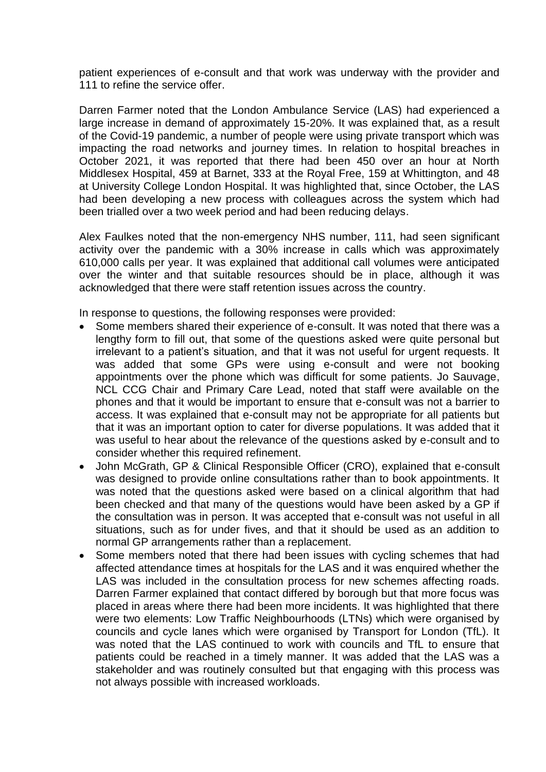patient experiences of e-consult and that work was underway with the provider and 111 to refine the service offer.

Darren Farmer noted that the London Ambulance Service (LAS) had experienced a large increase in demand of approximately 15-20%. It was explained that, as a result of the Covid-19 pandemic, a number of people were using private transport which was impacting the road networks and journey times. In relation to hospital breaches in October 2021, it was reported that there had been 450 over an hour at North Middlesex Hospital, 459 at Barnet, 333 at the Royal Free, 159 at Whittington, and 48 at University College London Hospital. It was highlighted that, since October, the LAS had been developing a new process with colleagues across the system which had been trialled over a two week period and had been reducing delays.

Alex Faulkes noted that the non-emergency NHS number, 111, had seen significant activity over the pandemic with a 30% increase in calls which was approximately 610,000 calls per year. It was explained that additional call volumes were anticipated over the winter and that suitable resources should be in place, although it was acknowledged that there were staff retention issues across the country.

In response to questions, the following responses were provided:

- Some members shared their experience of e-consult. It was noted that there was a lengthy form to fill out, that some of the questions asked were quite personal but irrelevant to a patient's situation, and that it was not useful for urgent requests. It was added that some GPs were using e-consult and were not booking appointments over the phone which was difficult for some patients. Jo Sauvage, NCL CCG Chair and Primary Care Lead, noted that staff were available on the phones and that it would be important to ensure that e-consult was not a barrier to access. It was explained that e-consult may not be appropriate for all patients but that it was an important option to cater for diverse populations. It was added that it was useful to hear about the relevance of the questions asked by e-consult and to consider whether this required refinement.
- John McGrath, GP & Clinical Responsible Officer (CRO), explained that e-consult was designed to provide online consultations rather than to book appointments. It was noted that the questions asked were based on a clinical algorithm that had been checked and that many of the questions would have been asked by a GP if the consultation was in person. It was accepted that e-consult was not useful in all situations, such as for under fives, and that it should be used as an addition to normal GP arrangements rather than a replacement.
- Some members noted that there had been issues with cycling schemes that had affected attendance times at hospitals for the LAS and it was enquired whether the LAS was included in the consultation process for new schemes affecting roads. Darren Farmer explained that contact differed by borough but that more focus was placed in areas where there had been more incidents. It was highlighted that there were two elements: Low Traffic Neighbourhoods (LTNs) which were organised by councils and cycle lanes which were organised by Transport for London (TfL). It was noted that the LAS continued to work with councils and TfL to ensure that patients could be reached in a timely manner. It was added that the LAS was a stakeholder and was routinely consulted but that engaging with this process was not always possible with increased workloads.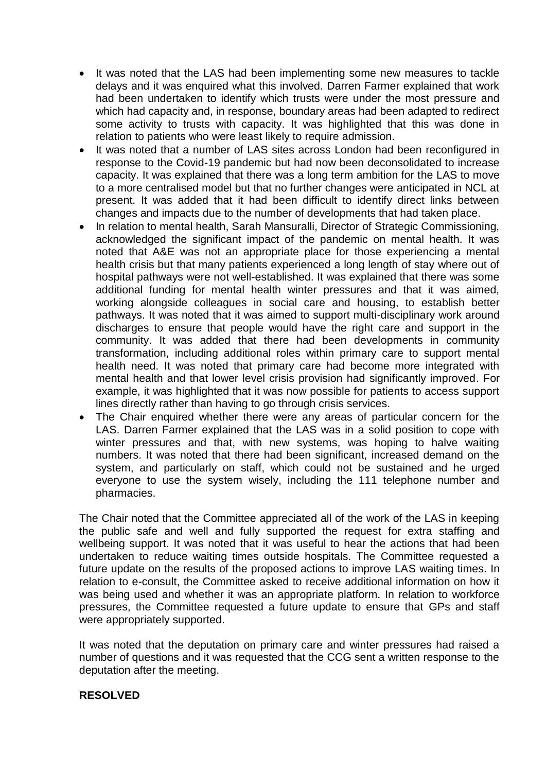- It was noted that the LAS had been implementing some new measures to tackle delays and it was enquired what this involved. Darren Farmer explained that work had been undertaken to identify which trusts were under the most pressure and which had capacity and, in response, boundary areas had been adapted to redirect some activity to trusts with capacity. It was highlighted that this was done in relation to patients who were least likely to require admission.
- It was noted that a number of LAS sites across London had been reconfigured in response to the Covid-19 pandemic but had now been deconsolidated to increase capacity. It was explained that there was a long term ambition for the LAS to move to a more centralised model but that no further changes were anticipated in NCL at present. It was added that it had been difficult to identify direct links between changes and impacts due to the number of developments that had taken place.
- In relation to mental health, Sarah Mansuralli, Director of Strategic Commissioning, acknowledged the significant impact of the pandemic on mental health. It was noted that A&E was not an appropriate place for those experiencing a mental health crisis but that many patients experienced a long length of stay where out of hospital pathways were not well-established. It was explained that there was some additional funding for mental health winter pressures and that it was aimed, working alongside colleagues in social care and housing, to establish better pathways. It was noted that it was aimed to support multi-disciplinary work around discharges to ensure that people would have the right care and support in the community. It was added that there had been developments in community transformation, including additional roles within primary care to support mental health need. It was noted that primary care had become more integrated with mental health and that lower level crisis provision had significantly improved. For example, it was highlighted that it was now possible for patients to access support lines directly rather than having to go through crisis services.
- The Chair enquired whether there were any areas of particular concern for the LAS. Darren Farmer explained that the LAS was in a solid position to cope with winter pressures and that, with new systems, was hoping to halve waiting numbers. It was noted that there had been significant, increased demand on the system, and particularly on staff, which could not be sustained and he urged everyone to use the system wisely, including the 111 telephone number and pharmacies.

The Chair noted that the Committee appreciated all of the work of the LAS in keeping the public safe and well and fully supported the request for extra staffing and wellbeing support. It was noted that it was useful to hear the actions that had been undertaken to reduce waiting times outside hospitals. The Committee requested a future update on the results of the proposed actions to improve LAS waiting times. In relation to e-consult, the Committee asked to receive additional information on how it was being used and whether it was an appropriate platform. In relation to workforce pressures, the Committee requested a future update to ensure that GPs and staff were appropriately supported.

It was noted that the deputation on primary care and winter pressures had raised a number of questions and it was requested that the CCG sent a written response to the deputation after the meeting.

#### **RESOLVED**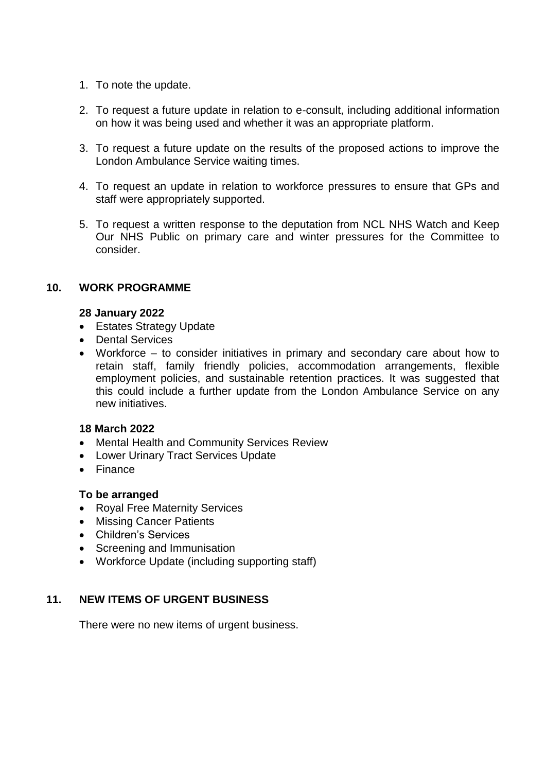- 1. To note the update.
- 2. To request a future update in relation to e-consult, including additional information on how it was being used and whether it was an appropriate platform.
- 3. To request a future update on the results of the proposed actions to improve the London Ambulance Service waiting times.
- 4. To request an update in relation to workforce pressures to ensure that GPs and staff were appropriately supported.
- 5. To request a written response to the deputation from NCL NHS Watch and Keep Our NHS Public on primary care and winter pressures for the Committee to consider.

## **10. WORK PROGRAMME**

#### **28 January 2022**

- Estates Strategy Update
- Dental Services
- Workforce to consider initiatives in primary and secondary care about how to retain staff, family friendly policies, accommodation arrangements, flexible employment policies, and sustainable retention practices. It was suggested that this could include a further update from the London Ambulance Service on any new initiatives.

## **18 March 2022**

- Mental Health and Community Services Review
- Lower Urinary Tract Services Update
- Finance

## **To be arranged**

- Royal Free Maternity Services
- Missing Cancer Patients
- Children's Services
- Screening and Immunisation
- Workforce Update (including supporting staff)

# **11. NEW ITEMS OF URGENT BUSINESS**

There were no new items of urgent business.